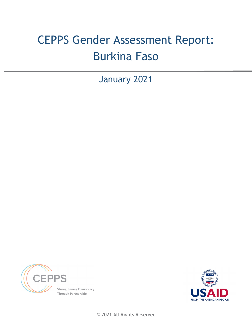# CEPPS Gender Assessment Report: Burkina Faso

January 2021





© 2021 All Rights Reserved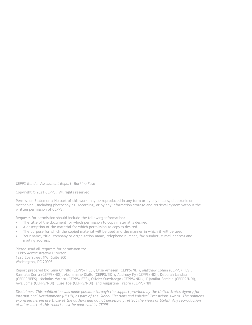*CEPPS Gender Assessment Report: Burkina Faso*

Copyright © 2021 CEPPS. All rights reserved.

Permission Statement: No part of this work may be reproduced in any form or by any means, electronic or mechanical, including photocopying, recording, or by any information storage and retrieval system without the written permission of CEPPS.

Requests for permission should include the following information:

- The title of the document for which permission to copy material is desired.
- A description of the material for which permission to copy is desired.
- The purpose for which the copied material will be used and the manner in which it will be used.
- Your name, title, company or organization name, telephone number, fax number, e-mail address and mailing address.

Please send all requests for permission to: CEPPS Administrative Director 1225 Eye Street NW, Suite 800 Washington, DC 20005

Report prepared by: Gina Chirillo (CEPPS/IFES), Elise Arnesen (CEPPS/NDI), Matthew Cohen (CEPPS/IFES), Rasmata Derra (CEPPS/NDI), Abdramane Diallo (CEPPS/NDI), Audreuy Ky (CEPPS/NDI), Deborah Landau (CEPPS/IFES), Nicholas Matatu (CEPPS/IFES), Olivier Ouedraogo (CEPPS/NDI), Djamilat Sombie (CEPPS/NDI), Awa Some (CEPPS/NDI), Elise Toe (CEPPS/NDI), and Augustine Traore (CEPPS/NDI)

*Disclaimer: This publication was made possible through the support provided by the United States Agency for International Development (USAID) as part of the Global Elections and Political Transitions Award. The opinions expressed herein are those of the authors and do not necessarily reflect the views of USAID. Any reproduction of all or part of this report must be approved by CEPPS.*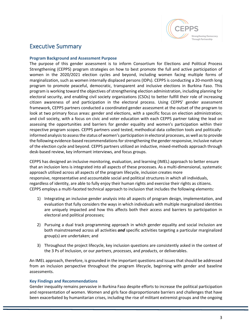

# Executive Summary

#### **Program Background and Assessment Purpose**

The purpose of this gender assessment is to inform Consortium for Elections and Political Process Strengthening (CEPPS) program strategies on how to best promote the full and active participation of women in the 2020/2021 election cycles and beyond, including women facing multiple forms of marginalization, such as women internally displaced persons (IDPs). CEPPS is conducting a 20-month long program to promote peaceful, democratic, transparent and inclusive elections in Burkina Faso. This program is working toward the objectives of strengthening election administration, including planning for electoral security, and enabling civil society organizations (CSOs) to better fulfill their role of increasing citizen awareness of and participation in the electoral process. Using CEPPS' gender assessment framework, CEPPS partners conducted a coordinated gender assessment at the outset of the program to look at two primary focus areas: gender and elections, with a specific focus on election administration; and civil society, with a focus on civic and voter education with each CEPPS partner taking the lead on assessing the opportunities and barriers for gender equality and women's participation within their respective program scopes. CEPPS partners used tested, methodical data collection tools and politicallyinformed analysisto assessthe status of women's participation in electoral processes, as well asto provide the following evidence-based recommendations for strengthening the gender responsive, inclusive nature of the election cycle and beyond. CEPPS partners utilized an inductive, mixed-methods approach through desk-based review, key informant interviews, and focus groups.

CEPPS has designed an inclusive monitoring, evaluation, and learning (IMEL) approach to better ensure that an inclusion lens is integrated into all aspects of these processes. As a multi-dimensional, systematic approach utilized across all aspects of the program lifecycle, inclusion creates more responsive, representative and accountable social and political structures in which all individuals, regardless of identity, are able to fully enjoy their human rights and exercise their rights as citizens. CEPPS employs a multi-faceted technical approach to inclusion that includes the following elements:

- 1) Integrating an inclusive gender analysis into all aspects of program design, implementation, and evaluation that fully considers the ways in which individuals with multiple marginalized identities are uniquely impacted and how this affects both their access and barriers to participation in electoral and political processes;
- 2) Pursuing a dual track programming approach in which gender equality and social inclusion are both mainstreamed across all activities *and* specific activities targeting a particular marginalized group(s) are undertaken; and
- 3) Throughout the project lifecycle, key inclusion questions are consistently asked in the context of the 3 Ps of Inclusion, or our *partners*, *processes*, and *products*, or deliverables.

An IMEL approach, therefore, is grounded in the important questions and issuesthat should be addressed from an inclusion perspective throughout the program lifecycle, beginning with gender and baseline assessments.

#### **Key Findings and Recommendations**

Gender inequality remains pervasive in Burkina Faso despite efforts to increase the political participation and representation of women. Women and girls face disproportionate barriers and challenges that have been exacerbated by humanitarian crises, including the rise of militant extremist groups and the ongoing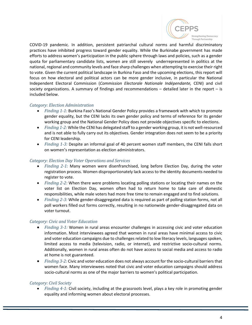

COVID-19 pandemic. In addition, persistent patriarchal cultural norms and harmful discriminatory practices have inhibited progress toward gender equality. While the Burkinabe government has made efforts to address women's participation in the public sphere through laws and policies, such as a gender quota for parliamentary candidate lists, women are still severely underrepresented in politics at the national, regional and community levels and face sharp challenges when attempting to exercise their right to vote. Given the current political landscape in Burkina Faso and the upcoming elections, this report will focus on how electoral and political actors can be more gender inclusive, in particular the National Independent Electoral Commission (*Commission Electorale Nationale Indépendante,* CENI) and civil society organizations. A summary of findings and recommendations  $-$  detailed later in the report  $-$  is included below.

### *Category: Election Administration*

- *Finding 1-1:* Burkina Faso's National Gender Policy provides a framework with which to promote gender equality, but the CENI lacks its own gender policy and terms of reference for its gender working group and the National Gender Policy does not provide objectives specific to elections.
- *Finding 1-2:* While the CENI has delegated staff to a gender working group, it is not well-resourced and is not able to fully carry out its objectives. Gender integration does not seem to be a priority for CENI leadership.
- *Finding 1-3:* Despite an informal goal of 40 percent women staff members, the CENI falls short on women's representation as election administrators.

#### *Category: Election Day Voter Operations and Services*

- *Finding 2-1:* Many women were disenfranchised, long before Election Day, during the voter registration process. Women disproportionately lack access to the identity documents needed to register to vote.
- *Finding 2-2:* When there were problems locating polling stations or locating their names on the voter list on Election Day, women often had to return home to take care of domestic responsibilities, while male voters had more free time to remain engaged and to find solutions.
- *Finding 2-3:* While gender-disaggregated data is required as part of polling station forms, not all poll workers filled out forms correctly, resulting in no nationwide gender-disaggregated data on voter turnout.

#### *Category: Civic and Voter Education*

- *Finding 3-1:* Women in rural areas encounter challenges in accessing civic and voter education information. Most interviewees agreed that women in rural areas have minimal access to civic and voter education campaigns due to challenges related to low literacy levels, languages spoken, limited access to media (television, radio, or internet), and restrictive socio-cultural norms. Additionally, women in rural areas often do not have access to social media and access to radio at home is not guaranteed.
- *Finding 3-2:* Civic and voter education does not always account for the socio-cultural barriersthat women face. Many interviewees noted that civic and voter education campaigns should address socio-cultural norms as one of the major barriers to women's political participation.

## *Category: Civil Society*

• *Finding 4-1:* Civil society, including at the grassroots level, plays a key role in promoting gender equality and informing women about electoral processes.